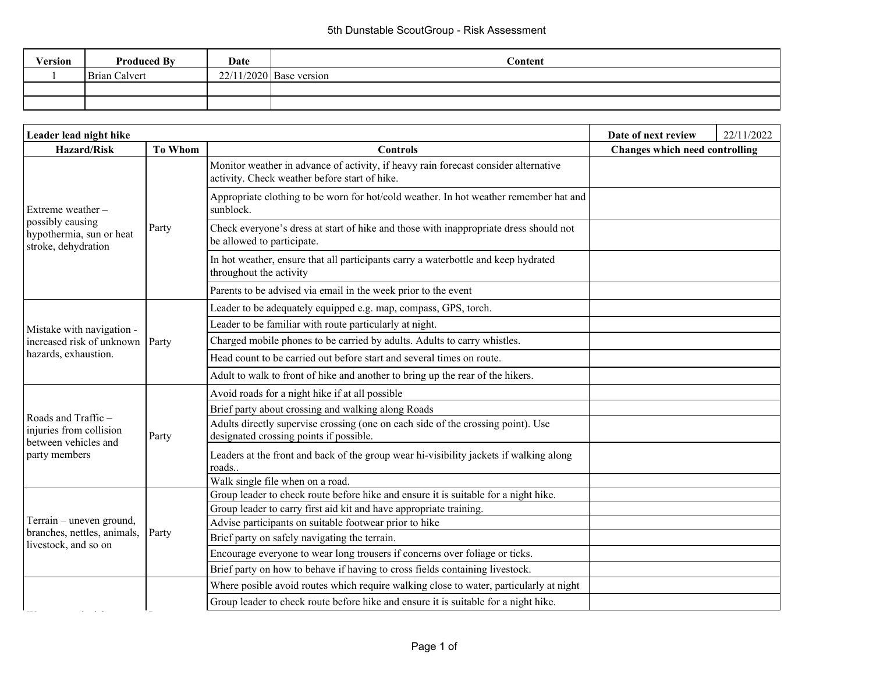## 5th Dunstable ScoutGroup - Risk Assessment

| Version | <b>Produced By</b> | Date | $\Gamma$ ontent           |
|---------|--------------------|------|---------------------------|
|         | Brian Calvert      |      | $22/11/2020$ Base version |
|         |                    |      |                           |
|         |                    |      |                           |

| Leader lead night hike                                                |                                   |                                                                                                                                      | Date of next review            | 22/11/2022 |
|-----------------------------------------------------------------------|-----------------------------------|--------------------------------------------------------------------------------------------------------------------------------------|--------------------------------|------------|
| <b>Hazard/Risk</b>                                                    | <b>To Whom</b><br><b>Controls</b> |                                                                                                                                      | Changes which need controlling |            |
|                                                                       | Party                             | Monitor weather in advance of activity, if heavy rain forecast consider alternative<br>activity. Check weather before start of hike. |                                |            |
| Extreme weather-                                                      |                                   | Appropriate clothing to be worn for hot/cold weather. In hot weather remember hat and<br>sunblock.                                   |                                |            |
| possibly causing<br>hypothermia, sun or heat<br>stroke, dehydration   |                                   | Check everyone's dress at start of hike and those with inappropriate dress should not<br>be allowed to participate.                  |                                |            |
|                                                                       |                                   | In hot weather, ensure that all participants carry a waterbottle and keep hydrated<br>throughout the activity                        |                                |            |
|                                                                       |                                   | Parents to be advised via email in the week prior to the event                                                                       |                                |            |
|                                                                       |                                   | Leader to be adequately equipped e.g. map, compass, GPS, torch.                                                                      |                                |            |
| Mistake with navigation -                                             | Party                             | Leader to be familiar with route particularly at night.                                                                              |                                |            |
| increased risk of unknown                                             |                                   | Charged mobile phones to be carried by adults. Adults to carry whistles.                                                             |                                |            |
| hazards, exhaustion.                                                  |                                   | Head count to be carried out before start and several times on route.                                                                |                                |            |
|                                                                       |                                   | Adult to walk to front of hike and another to bring up the rear of the hikers.                                                       |                                |            |
|                                                                       | Party                             | Avoid roads for a night hike if at all possible                                                                                      |                                |            |
|                                                                       |                                   | Brief party about crossing and walking along Roads                                                                                   |                                |            |
| Roads and Traffic-<br>injuries from collision<br>between vehicles and |                                   | Adults directly supervise crossing (one on each side of the crossing point). Use<br>designated crossing points if possible.          |                                |            |
| party members                                                         |                                   | Leaders at the front and back of the group wear hi-visibility jackets if walking along<br>roads                                      |                                |            |
|                                                                       |                                   | Walk single file when on a road.                                                                                                     |                                |            |
|                                                                       |                                   | Group leader to check route before hike and ensure it is suitable for a night hike.                                                  |                                |            |
|                                                                       |                                   | Group leader to carry first aid kit and have appropriate training.                                                                   |                                |            |
| Terrain - uneven ground,<br>branches, nettles, animals,               |                                   | Advise participants on suitable footwear prior to hike                                                                               |                                |            |
| livestock, and so on                                                  | Party                             | Brief party on safely navigating the terrain.                                                                                        |                                |            |
|                                                                       |                                   | Encourage everyone to wear long trousers if concerns over foliage or ticks.                                                          |                                |            |
|                                                                       |                                   | Brief party on how to behave if having to cross fields containing livestock.                                                         |                                |            |
|                                                                       |                                   | Where posible avoid routes which require walking close to water, particularly at night                                               |                                |            |
|                                                                       |                                   | Group leader to check route before hike and ensure it is suitable for a night hike.                                                  |                                |            |